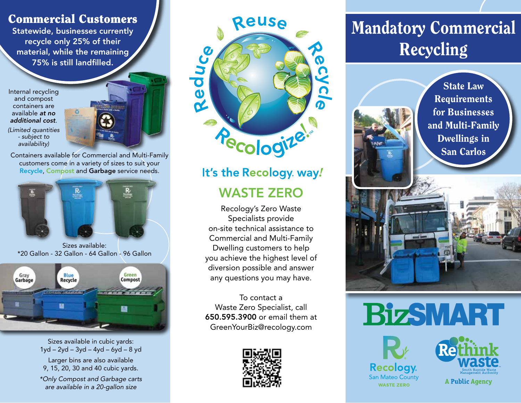#### Commercial Customers

Statewide, businesses currently recycle only 25% of their material, while the remaining 75% is still landfilled.

Internal recycling and compost containers are available *at no additional cost*.

*(Limited quantities - subject to availability)*



Containers available for Commercial and Multi-Family customers come in a variety of sizes to suit your Recycle, Compost and Garbage service needs.



Sizes available: \*20 Gallon - 32 Gallon - 64 Gallon - 96 Gallon



Sizes available in cubic yards: 1yd – 2yd – 3yd – 4yd – 6yd – 8 yd

Larger bins are also available 9, 15, 20, 30 and 40 cubic yards.

*\*Only Compost and Garbage carts are available in a 20-gallon size*



### It's the Recology. way! WASTE ZERO

Recology's Zero Waste Specialists provide on-site technical assistance to Commercial and Multi-Family Dwelling customers to help you achieve the highest level of diversion possible and answer any questions you may have.

To contact a Waste Zero Specialist, call 650.595.3900 or email them at GreenYourBiz@recology.com



## Mandatory Commercial Recycling



## **BizSMART**





**A Public Agency**